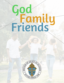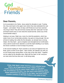### Dear Parents,

As he ascended to his Father, Jesus asked his disciples to wait. Trusting him, they went back to the upper room where they had celebrated the Last Supper – and waited. Those 10 days until Pentecost must have seemed very long to them! They did not know exactly when this "advocate" he had promised would come or even what this would look like. (Does any of this sound familiar today?)

Waiting is not easy. Right now, most of us feel this pandemic, which has stolen most of our normal daily activities, has gone on long enough. We are all tired of waiting. But unlike the first disciples, we already have a strong helper, the Holy Spirit – given at baptism and strengthened at Confirmation. Jesus said he would never abandon us and the Spirit dwelling in our hearts, the Divine Comforter is how he keeps his promise.

In the second reading St. Paul's reminds us we were all "baptized into one Body, given to drink of one Spirit." Take comfort: all Catholics are with you as your family prays during Mass "in the unity of the Holy Spirit." Together, we are called as the disciples were, filled with the Spirit, to tell everyone we meet what God has done and is still doing today.

*Come, Holy Spirit, come! And from your celestial home Shed a ray of light divine! Come, Father of the poor! Come, source of all our store! Come, within our bosoms shine. You, of comforters the best; You, the soul's most welcome guest Sweet refreshment here below; In our labor, rest most sweet; ; Grateful coolness in the heat; Solace in the midst of woe.*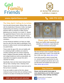

### [www.stpeteritasca.com](https://www.stpeteritasca.com/) **630-773-1272**

#### The Holy Spirit Calling Us to Action

Over the past several weeks, Bishop Pates, along with the leadership of Diocese of Joliet, has begun implementing and sharing a reopening plan for parishes within our diocese to safely resume gathering at our churches. As a result, Fr. Slawek has appointed Deacon Fred to chair and overee a safe reopening at St. Peter the Apostle. Among Deacon Fred's first tasks is to build a core team of volunteers.

On this Pentecost weekend, we hope you might hear the call of the Holy Spirit to participate in this process to safely resume communal gatherings for our parish family.

Those under the age of 60, who are healthy with no underlying health conditions are asked to consider assisting with one of three reopening teams. Religious Education families, high school and college students,as well as young adults, are especially encouraged to answer this call to volunteer for teams.

Specifically, there are three teams being formed: Set-up Team, Greeting Team, Cleaning Team.

Please click on the link below to read more and to find out how to volunteer.

If you are unable to assist at this time, please continue to pray for those who are working to bring us back to our place of worship and community.



#### Share your Sunday!

Share your family's faith experiences and activities on [Facebook,](https://www.facebook.com/stpeteritascareligioused/) or post ideas for spiritual enrichment and prayer.

#### Outreach & Support

We have formed a team of people ready and willing to help those in need. If you would still like to offer your help, [please sign up here.](https://www.stpeteritasca.com/coronavirus-volunteer-form-1)

If you find yourself in need of errand help (i.e. someone to pick-up groceries for you), in need of a spiritual care phone call, or you just feel alone and isolated and could use a chat[, please sign up here](https://www.stpeteritasca.com/coronavirus-assistance-form).

#### Stay Connected

**Please visit the parish home page at www.stpeteritasca.com for links to prayer opportunities, daily readings and Mass.**



Connect with us on Facebook [Stay Connected](https://www.facebook.com/SaintPeterApostle.Itasca/)

[click to read more and volunteer](https://www.stpeteritasca.com/copy-of-coronavirus-volunteer-form)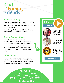### Pentecost Sunday

Today, we celebrate Pentecost - where the Holy Spirit came down upon the Apostles. From that moment, they were given power to proclaim Jesus and to be witnesses the ends of the world.

We too, through the Sacrament of Confirmation, are given this same outpouring of the Holy Spirit.

### Special Pentecost Mass

Bishop Pates is inviting all whose Confirmation has been postponed due to the Coronavirus to join him for a special Mass at 2:00 PM on Sunday, May 31st!

If this applies to your family, please invite your sponsor and loved ones to join with you as well. This is quite a unique opportunity to gather with our Bishop.

### Other Masses

Check your parish website to see if live-streaming is available. You are welcome to join Fr. Andy Davy's Mass for young families on Saturday or Bishop Pates' normal Mass on Sunday morning at 10:00 AM.

**STREAM**



[4:00 PM](https://www.facebook.com/saintmaryplanoil/) [Saturday 5](https://www.facebook.com/saintmaryplanoil/)/30 [with Fr. Andy](https://www.facebook.com/saintmaryplanoil/)



**TRANSMISIÓN** 

**LIVE**

[10:00 AM](https://www.youtube.com/channel/UCrnNysq1arBI-ylNjrJ1pAA/featured) [Sunday 5/31 with](https://www.youtube.com/channel/UCrnNysq1arBI-ylNjrJ1pAA/featured)  [Bishop Pates](https://www.youtube.com/channel/UCrnNysq1arBI-ylNjrJ1pAA/featured) 



[2:00 PM](https://www.youtube.com/watch?v=0dIjDyIROvM) [Special Mass with](https://www.youtube.com/watch?v=0dIjDyIROvM) Bishop Pates

```
Daily Readings
```
"The fruit of the Spirit is love, joy, peace, patience, kindness, goodness, faithfulness, gentleness, self-control."

-Galatians: 5:22-23.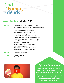### Gospel Reading - John 20:19-23

Reader

On the evening of that first day of the week, when the doors were locked, where the disciples were, for fear of the Jews, Jesus came and stood in their midst and said to them, "Peace be with you." When he had said this, he showed them his hands and his side. The disciples rejoiced when they saw the Lord. Jesus said to them again, "Peace be with you. As the Father has sent me, so I send you." And when he had said this, he breathed on them and said to them, "Receive the Holy Spirit. Whose sins you forgive are forgiven them, and whose sins you retain are retained."

The Gospel of the Lord **Praise to you, Lord Jesus Christ** Reader All



### Spiritual Communion

**My Jesus, I believe that You are truly present in the Holy Eucharist. I love You above all things and I want to be with you.** 

**Since I am unable to receive you at Mass, please Jesus, come into my heart. Be with me now and never let me be separated from you. Amen.**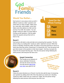### Would You Rather...

Each person in your group comes up with 3 different 'would you rather' questions and writes them on strips of paper. Make some fun, some silly, some tougher, some hard. Make some that address our faith and the journey of our faith. Be creative. You can google 'would you rather' for some helps in coming up with questions. Fold the paper strips into squares and put them all in a bowl or hat.

### Good for the Whole Family! Paper Pens Ideas

#### Round 1

Each person will select a strip and take turns answering their question. The first person will go, by reading their 'would you rather' statement out loud. While that person is deciding 'would they rather' the others in the group will have to vote as to which they think they will do. Would they? Or Would they not? Then the person will give their answer to the question on their slip of paper! And they must give the reason for the answer that they give. Then the next person will go following the same process until everyone has had a turn.



#### Gospel Connection

This Sunday we as followers of Jesus celebrates Pentecost. The day the church was born. The day that the **Gifts of the** Holy Spirit were given to us!

Would you rather have one eye in the middle of your forehead or two noses?

Would you rath be able to fly or be invisible?

#### Round 2

Follow the same directions as in Round 1 but this time add the layer of answering your question by adding which Gift of the Holy Spirit you would use in deciding 'would you rather' and/or why you 'would not'? Again, the next person will go following the same process until everyone has had a turn.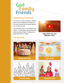### Celebrating Pentecost

You can do so much to help your children enter into the celebration of Pentecost. We have included several ideas that you can try with your kids.

And remember that it's the birthday of the Church. You bring the cake and the Holy Spirit will bring the gifts! Celebrate this great feast with your family.



"Holy Spirit You Are Welcome Here"

### For the Kids...







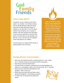### Come Holy Spirit!

As parents, we are ministers of the Holy Spirit in our families. Our children observe how we decide between right and wrong and how we make decisions based on whether or not they bear 'fruit of the Spirit'; whether they bring love, joy, or peace to another. We must call upon the Holy Spirit in our own lives and listen to how the Holy Spirit is moving within us and guiding us so that we, in turn, can then be true ministers of the Holy Spirit to our children.

Pray this prayer as a family before dinner or during another time of the day.

**Come Holy Spirit, fill the hearts of your faithful and kindle in them the fire of your love. Send forth your Spirit and they shall be created. And You shall renew the face of the earth.**

**O, God, who by the light of the Holy Spirit, did instruct the hearts of the faithful, grant that by the same Holy Spirit we may be truly wise and ever enjoy His consolations, Through Christ Our Lord, Amen.**

### Family Dinner Conversation

- Have you ever locked yourself in a private space (i.e. room, house, etc.)? Describe the fears and emotions while in that space.
- How did you overcome those fears?
- How have fears or emotions prevented you form participating in an activity (i.e. conversation, sports, club, church events, etc.)? Describe.
- Have you ever invited the Holy Spirit into your situation? Why or why not?
- Where have you seen the Holy Spirit at work during this pandemic? Did it bring you peace?
- To whom can you bring Christ's peace this week?